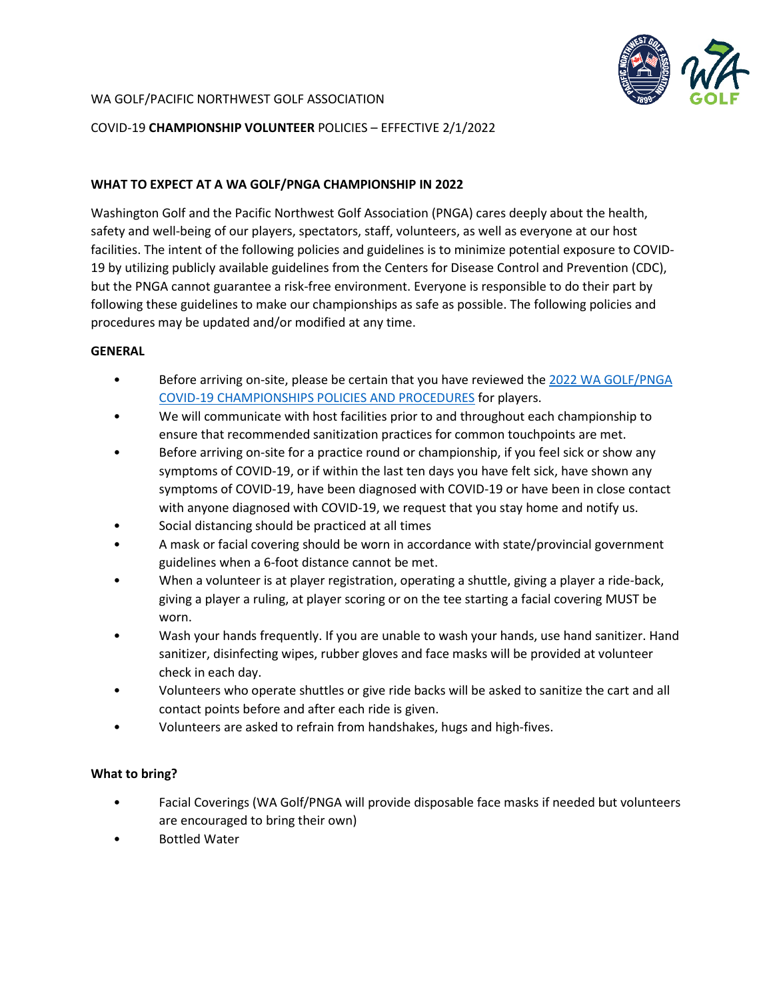

#### WA GOLF/PACIFIC NORTHWEST GOLF ASSOCIATION

#### COVID-19 **CHAMPIONSHIP VOLUNTEER** POLICIES – EFFECTIVE 2/1/2022

#### **WHAT TO EXPECT AT A WA GOLF/PNGA CHAMPIONSHIP IN 2022**

Washington Golf and the Pacific Northwest Golf Association (PNGA) cares deeply about the health, safety and well-being of our players, spectators, staff, volunteers, as well as everyone at our host facilities. The intent of the following policies and guidelines is to minimize potential exposure to COVID-19 by utilizing publicly available guidelines from the Centers for Disease Control and Prevention (CDC), but the PNGA cannot guarantee a risk-free environment. Everyone is responsible to do their part by following these guidelines to make our championships as safe as possible. The following policies and procedures may be updated and/or modified at any time.

#### **GENERAL**

- Before arriving on-site, please be certain that you have reviewed the 2022 WA GOLF/PNGA [COVID-19 CHAMPIONSHIPS POLICIES AND](https://wagolf.org/wp-content/uploads/2021/12/WA-GOLF-COVID-19-Champ-Policies-1.1.22.pdf) PROCEDURES for players.
- We will communicate with host facilities prior to and throughout each championship to ensure that recommended sanitization practices for common touchpoints are met.
- Before arriving on-site for a practice round or championship, if you feel sick or show any symptoms of COVID-19, or if within the last ten days you have felt sick, have shown any symptoms of COVID-19, have been diagnosed with COVID-19 or have been in close contact with anyone diagnosed with COVID-19, we request that you stay home and notify us.
- Social distancing should be practiced at all times
- A mask or facial covering should be worn in accordance with state/provincial government guidelines when a 6-foot distance cannot be met.
- When a volunteer is at player registration, operating a shuttle, giving a player a ride-back, giving a player a ruling, at player scoring or on the tee starting a facial covering MUST be worn.
- Wash your hands frequently. If you are unable to wash your hands, use hand sanitizer. Hand sanitizer, disinfecting wipes, rubber gloves and face masks will be provided at volunteer check in each day.
- Volunteers who operate shuttles or give ride backs will be asked to sanitize the cart and all contact points before and after each ride is given.
- Volunteers are asked to refrain from handshakes, hugs and high-fives.

## **What to bring?**

- Facial Coverings (WA Golf/PNGA will provide disposable face masks if needed but volunteers are encouraged to bring their own)
- **Bottled Water**